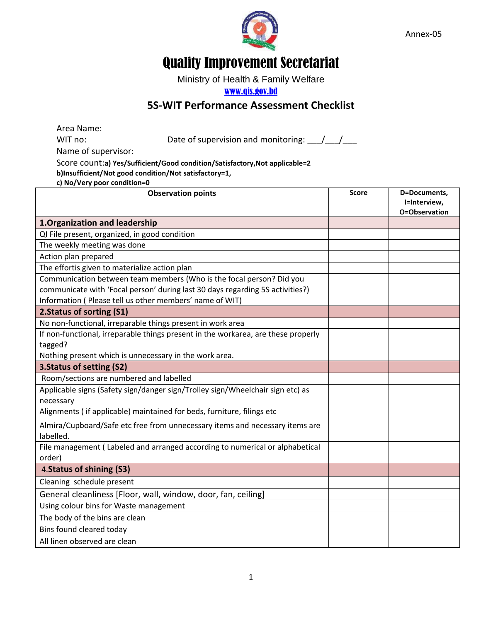

Annex-05

## Quality Improvement Secretariat

Ministry of Health & Family Welfare

## [www.qis.gov.bd](http://www.qis.gov.bd/)

## **5S-WIT Performance Assessment Checklist**

| Area Name:                                                                    |                                                                                   |              |                                               |
|-------------------------------------------------------------------------------|-----------------------------------------------------------------------------------|--------------|-----------------------------------------------|
| WIT no:                                                                       | Date of supervision and monitoring: $\frac{1}{\sqrt{1-\frac{1}{2}}}$              |              |                                               |
| Name of supervisor:                                                           |                                                                                   |              |                                               |
|                                                                               | Score count:a) Yes/Sufficient/Good condition/Satisfactory, Not applicable=2       |              |                                               |
|                                                                               | b)Insufficient/Not good condition/Not satisfactory=1,                             |              |                                               |
| c) No/Very poor condition=0                                                   |                                                                                   |              |                                               |
|                                                                               | <b>Observation points</b>                                                         | <b>Score</b> | D=Documents,<br>I=Interview,<br>O=Observation |
| 1. Organization and leadership                                                |                                                                                   |              |                                               |
| QI File present, organized, in good condition                                 |                                                                                   |              |                                               |
| The weekly meeting was done                                                   |                                                                                   |              |                                               |
| Action plan prepared                                                          |                                                                                   |              |                                               |
| The effortis given to materialize action plan                                 |                                                                                   |              |                                               |
| Communication between team members (Who is the focal person? Did you          |                                                                                   |              |                                               |
| communicate with 'Focal person' during last 30 days regarding 5S activities?) |                                                                                   |              |                                               |
|                                                                               | Information (Please tell us other members' name of WIT)                           |              |                                               |
| 2. Status of sorting (S1)                                                     |                                                                                   |              |                                               |
| No non-functional, irreparable things present in work area                    |                                                                                   |              |                                               |
|                                                                               | If non-functional, irreparable things present in the workarea, are these properly |              |                                               |
| tagged?                                                                       |                                                                                   |              |                                               |
|                                                                               | Nothing present which is unnecessary in the work area.                            |              |                                               |
| 3. Status of setting (S2)                                                     |                                                                                   |              |                                               |
| Room/sections are numbered and labelled                                       |                                                                                   |              |                                               |
| necessary                                                                     | Applicable signs (Safety sign/danger sign/Trolley sign/Wheelchair sign etc) as    |              |                                               |
|                                                                               | Alignments (if applicable) maintained for beds, furniture, filings etc            |              |                                               |
| labelled.                                                                     | Almira/Cupboard/Safe etc free from unnecessary items and necessary items are      |              |                                               |
| order)                                                                        | File management (Labeled and arranged according to numerical or alphabetical      |              |                                               |
| 4. Status of shining (S3)                                                     |                                                                                   |              |                                               |
| Cleaning schedule present                                                     |                                                                                   |              |                                               |
| General cleanliness [Floor, wall, window, door, fan, ceiling]                 |                                                                                   |              |                                               |
| Using colour bins for Waste management                                        |                                                                                   |              |                                               |
| The body of the bins are clean                                                |                                                                                   |              |                                               |
| Bins found cleared today                                                      |                                                                                   |              |                                               |
| All linen observed are clean                                                  |                                                                                   |              |                                               |
|                                                                               |                                                                                   |              |                                               |